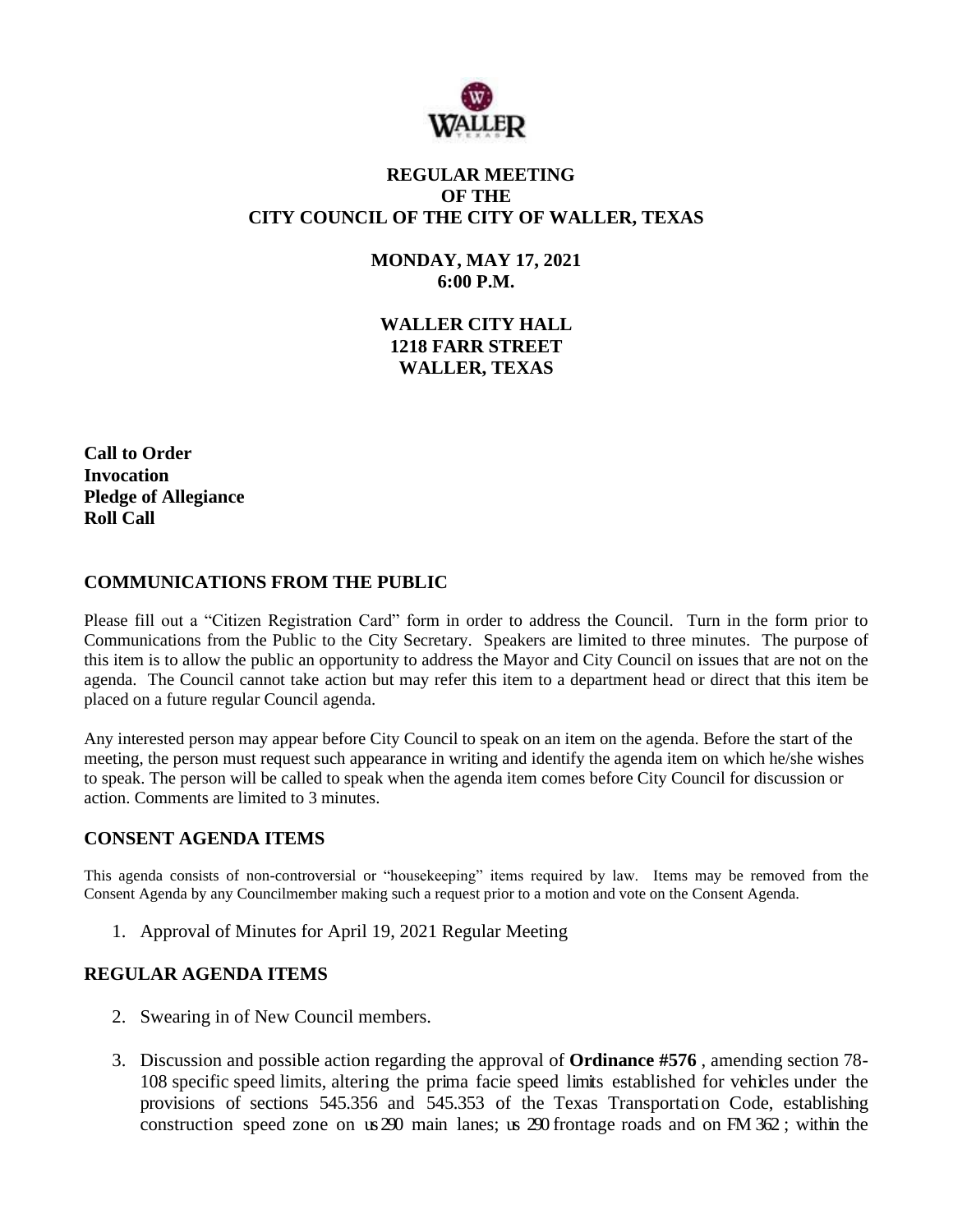

# **REGULAR MEETING OF THE CITY COUNCIL OF THE CITY OF WALLER, TEXAS**

**MONDAY, MAY 17, 2021 6:00 P.M.**

**WALLER CITY HALL 1218 FARR STREET WALLER, TEXAS**

**Call to Order Invocation Pledge of Allegiance Roll Call**

### **COMMUNICATIONS FROM THE PUBLIC**

Please fill out a "Citizen Registration Card" form in order to address the Council. Turn in the form prior to Communications from the Public to the City Secretary. Speakers are limited to three minutes. The purpose of this item is to allow the public an opportunity to address the Mayor and City Council on issues that are not on the agenda. The Council cannot take action but may refer this item to a department head or direct that this item be placed on a future regular Council agenda.

Any interested person may appear before City Council to speak on an item on the agenda. Before the start of the meeting, the person must request such appearance in writing and identify the agenda item on which he/she wishes to speak. The person will be called to speak when the agenda item comes before City Council for discussion or action. Comments are limited to 3 minutes.

### **CONSENT AGENDA ITEMS**

This agenda consists of non-controversial or "housekeeping" items required by law. Items may be removed from the Consent Agenda by any Councilmember making such a request prior to a motion and vote on the Consent Agenda.

1. Approval of Minutes for April 19, 2021 Regular Meeting

### **REGULAR AGENDA ITEMS**

- 2. Swearing in of New Council members.
- 3. Discussion and possible action regarding the approval of **Ordinance #576** , amending section 78- 108 specific speed limits, altering the prima facie speed limits established for vehicles under the provisions of sections 545.356 and 545.353 of the Texas Transportation Code, establishing construction speed zone on us 290 main lanes; us 290 frontage roads and on FM 362 ; within the